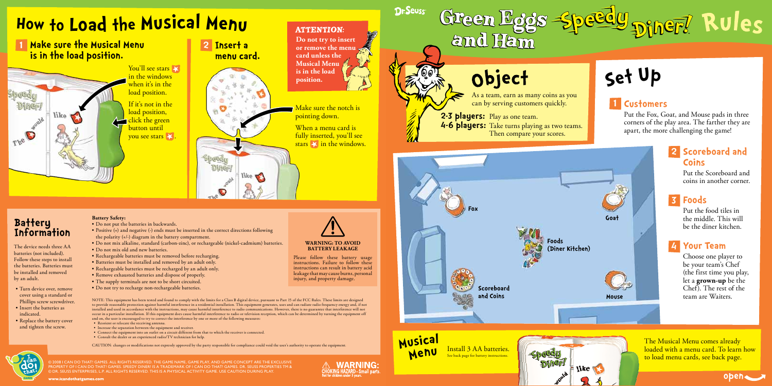## **2 Scoreboard and Coins**

Put the Scoreboard and coins in another corner.

Put the food tiles in the middle. This will be the diner kitchen.

## **Foods 3**

Choose one player to be your team's Chef (the first time you play, let a **grown-up** be the Chef). The rest of the team are Waiters.

## **1 Customers**

© 2008 I CAN DO THAT! GAMES. ALL RIGHTS RESERVED. THE GAME NAME, GAME PLAY, AND GAME CONCEPT ARE THE EXCLUSIVE<br>PROPERTY OF I CAN DO THAT! GAMES. SPEEDY DINER! IS A TRADEMARK OF I CAN DO THAT! GAMES. DR. SEUSS PROPERTIES TM © DR. SEUSS ENTERPRISES, L.P. ALL RIGHTS RESERVED. THIS IS A PHYSICAL ACTIVITY GAME. USE CAUTION DURING PLAY.



Put the Fox, Goat, and Mouse pads in three corners of the play area. The farther they are apart, the more challenging the game!

- Turn device over, remove cover using a standard or Phillips screw screwdriver.
- • Insert the batteries as indicated.
- Replace the battery cover and tighten the screw.
- • Do not put the batteries in backwards.
- Positive  $(+)$  and negative  $(-)$  ends must be inserted in the correct directions following the polarity (+/-) diagram in the battery compartment.
- • Do not mix alkaline, standard (carbon-zinc), or rechargeable (nickel-cadmium) batteries.
- Do not mix old and new batteries.
- Rechargeable batteries must be removed before recharging.
- • Batteries must be installed and removed by an adult only.
- Rechargeable batteries must be recharged by an adult only.
- • Remove exhausted batteries and dispose of properly.
- The supply terminals are not to be short circuited.
- Do not try to recharge non-rechargeable batteries.

## **Battery Information**

The device needs three AA batteries (not included). Follow these steps to install the batteries. Batteries must be installed and removed by an adult.

Please follow these battery usage instructions. Failure to follow these instructions can result in battery acid leakage that may cause burns, personal injury, and property damage.

**\RNING:** 

### **Battery Safety:**

- • Reorient or relocate the receiving antenna.
- Increase the separation between the equipment and receiver.
- • Connect the equipment into an outlet on a circuit different from that to which the receiver is connected. • Consult the dealer or an experienced radio/TV technician for help.

When a menu card is fully inserted, you'll see stars  $\ge$  in the windows.

> The Musical Menu comes already loaded with a menu card. To learn how to load menu cards, see back page. like |

www.icandothatgames.com



### **Your Team 4**

### **WARNING: TO AVOID BATTERY LEAKAGE**



NOTE: This equipment has been tested and found to comply with the limits for a Class B digital device, pursuant to Part 15 of the FCC Rules. These limits are designed to provide reasonable protection against harmful interference in a residential installation. This equipment generates, uses and can radiate radio frequency energy and, if not installed and used in accordance with the instructions, may cause harmful interference to radio communications. However, there is no guarantee that interference will not occur in a particular installation. If this equipment does cause harmful interference to radio or television reception, which can be determined by turning the equipment off and on, the user is encouraged to try to correct the interference by one or more of the following measures:

CAUTION: changes or modifications not expressly approved by the party responsible for compliance could void the user's authority to operate the equipment.



**Scoreboard and Coins**

As a team, earn as many coins as you can by serving customers quickly.

Then compare your scores.

**Foods**

**(Diner Kitchen)**

**Fox**







### **ATTENTION:**

**1 Make sure the Musical Menu is in the load position.**

like

You'll see stars in the windows when it's in the load position. If it's not in the load position,

click the green button until vou see stars  $\blacktriangleright$ .

# **<sup>H</sup>o<sup>w</sup> <sup>t</sup><sup>o</sup> Load <sup>t</sup>h<sup>e</sup> Music<sup>a</sup>l Men<sup>u</sup>**

Install 3 AA batteries. See back page for battery instructions. **Music<sup>a</sup><sup>l</sup> Men<sup>u</sup>**

**Do not try to insert or remove the menu card unless the Musical Menu is in the load position.**

**Dr.Seuss** 

Make sure the notch is pointing down.

**2-3 players:** Play as one team.

and Ham

object

**4-6 players:** Take turns playing as two teams.